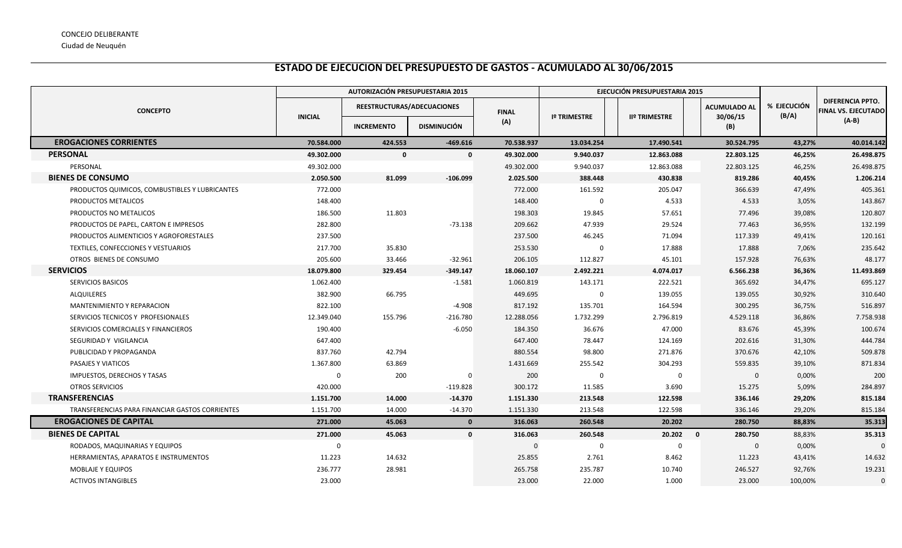## **ESTADO DE EJECUCION DEL PRESUPUESTO DE GASTOS - ACUMULADO AL 30/06/2015**

|                                                 | AUTORIZACIÓN PRESUPUESTARIA 2015 |                            |                    |              |                     | EJECUCIÓN PRESUPUESTARIA 2015 |                                 |                      |                                                       |
|-------------------------------------------------|----------------------------------|----------------------------|--------------------|--------------|---------------------|-------------------------------|---------------------------------|----------------------|-------------------------------------------------------|
| <b>CONCEPTO</b>                                 | <b>INICIAL</b>                   | REESTRUCTURAS/ADECUACIONES |                    | <b>FINAL</b> | <b>Iº TRIMESTRE</b> | <b>IIº TRIMESTRE</b>          | <b>ACUMULADO AL</b><br>30/06/15 | % EJECUCIÓN<br>(B/A) | <b>DIFERENCIA PPTO.</b><br><b>FINAL VS. EJECUTADO</b> |
|                                                 |                                  | <b>INCREMENTO</b>          | <b>DISMINUCIÓN</b> | (A)          |                     |                               | (B)                             |                      | $(A-B)$                                               |
| <b>EROGACIONES CORRIENTES</b>                   | 70.584.000                       | 424.553                    | $-469.616$         | 70.538.937   | 13.034.254          | 17.490.541                    | 30.524.795                      | 43,27%               | 40.014.142                                            |
| <b>PERSONAL</b>                                 | 49.302.000                       | $\mathbf{0}$               | $\mathbf 0$        | 49.302.000   | 9.940.037           | 12.863.088                    | 22.803.125                      | 46,25%               | 26.498.875                                            |
| PERSONAL                                        | 49.302.000                       |                            |                    | 49.302.000   | 9.940.037           | 12.863.088                    | 22.803.125                      | 46,25%               | 26.498.875                                            |
| <b>BIENES DE CONSUMO</b>                        | 2.050.500                        | 81.099                     | $-106.099$         | 2.025.500    | 388.448             | 430.838                       | 819.286                         | 40,45%               | 1.206.214                                             |
| PRODUCTOS QUIMICOS, COMBUSTIBLES Y LUBRICANTES  | 772.000                          |                            |                    | 772.000      | 161.592             | 205.047                       | 366.639                         | 47,49%               | 405.361                                               |
| PRODUCTOS METALICOS                             | 148.400                          |                            |                    | 148.400      | 0                   | 4.533                         | 4.533                           | 3,05%                | 143.867                                               |
| PRODUCTOS NO METALICOS                          | 186.500                          | 11.803                     |                    | 198.303      | 19.845              | 57.651                        | 77.496                          | 39,08%               | 120.807                                               |
| PRODUCTOS DE PAPEL, CARTON E IMPRESOS           | 282.800                          |                            | $-73.138$          | 209.662      | 47.939              | 29.524                        | 77.463                          | 36,95%               | 132.199                                               |
| PRODUCTOS ALIMENTICIOS Y AGROFORESTALES         | 237.500                          |                            |                    | 237.500      | 46.245              | 71.094                        | 117.339                         | 49,41%               | 120.161                                               |
| TEXTILES, CONFECCIONES Y VESTUARIOS             | 217.700                          | 35.830                     |                    | 253.530      | $\Omega$            | 17.888                        | 17.888                          | 7,06%                | 235.642                                               |
| OTROS BIENES DE CONSUMO                         | 205.600                          | 33.466                     | $-32.961$          | 206.105      | 112.827             | 45.101                        | 157.928                         | 76,63%               | 48.177                                                |
| <b>SERVICIOS</b>                                | 18.079.800                       | 329.454                    | $-349.147$         | 18.060.107   | 2.492.221           | 4.074.017                     | 6.566.238                       | 36,36%               | 11.493.869                                            |
| SERVICIOS BASICOS                               | 1.062.400                        |                            | $-1.581$           | 1.060.819    | 143.171             | 222.521                       | 365.692                         | 34,47%               | 695.127                                               |
| <b>ALQUILERES</b>                               | 382.900                          | 66.795                     |                    | 449.695      | $\mathbf 0$         | 139.055                       | 139.055                         | 30,92%               | 310.640                                               |
| MANTENIMIENTO Y REPARACION                      | 822.100                          |                            | $-4.908$           | 817.192      | 135.701             | 164.594                       | 300.295                         | 36,75%               | 516.897                                               |
| SERVICIOS TECNICOS Y PROFESIONALES              | 12.349.040                       | 155.796                    | $-216.780$         | 12.288.056   | 1.732.299           | 2.796.819                     | 4.529.118                       | 36,86%               | 7.758.938                                             |
| SERVICIOS COMERCIALES Y FINANCIEROS             | 190.400                          |                            | $-6.050$           | 184.350      | 36.676              | 47.000                        | 83.676                          | 45,39%               | 100.674                                               |
| SEGURIDAD Y VIGILANCIA                          | 647.400                          |                            |                    | 647.400      | 78.447              | 124.169                       | 202.616                         | 31,30%               | 444.784                                               |
| PUBLICIDAD Y PROPAGANDA                         | 837.760                          | 42.794                     |                    | 880.554      | 98.800              | 271.876                       | 370.676                         | 42,10%               | 509.878                                               |
| PASAJES Y VIATICOS                              | 1.367.800                        | 63.869                     |                    | 1.431.669    | 255.542             | 304.293                       | 559.835                         | 39,10%               | 871.834                                               |
| IMPUESTOS, DERECHOS Y TASAS                     | $\Omega$                         | 200                        | 0                  | 200          | $\mathbf 0$         | $\mathbf 0$                   | $\mathbf 0$                     | 0,00%                | 200                                                   |
| <b>OTROS SERVICIOS</b>                          | 420.000                          |                            | $-119.828$         | 300.172      | 11.585              | 3.690                         | 15.275                          | 5,09%                | 284.897                                               |
| <b>TRANSFERENCIAS</b>                           | 1.151.700                        | 14.000                     | $-14.370$          | 1.151.330    | 213.548             | 122.598                       | 336.146                         | 29,20%               | 815.184                                               |
| TRANSFERENCIAS PARA FINANCIAR GASTOS CORRIENTES | 1.151.700                        | 14.000                     | $-14.370$          | 1.151.330    | 213.548             | 122.598                       | 336.146                         | 29,20%               | 815.184                                               |
| <b>EROGACIONES DE CAPITAL</b>                   | 271.000                          | 45.063                     | $\mathbf{0}$       | 316.063      | 260.548             | 20.202                        | 280.750                         | 88,83%               | 35.313                                                |
| <b>BIENES DE CAPITAL</b>                        | 271.000                          | 45.063                     | $\mathbf 0$        | 316.063      | 260.548             | 20.202                        | $\mathbf{0}$<br>280.750         | 88,83%               | 35.313                                                |
| RODADOS, MAQUINARIAS Y EQUIPOS                  | $\mathbf 0$                      |                            |                    | $\mathbf 0$  | $\mathbf 0$         | $\mathbf 0$                   | $\mathbf{0}$                    | 0,00%                | $\Omega$                                              |
| HERRAMIENTAS, APARATOS E INSTRUMENTOS           | 11.223                           | 14.632                     |                    | 25.855       | 2.761               | 8.462                         | 11.223                          | 43,41%               | 14.632                                                |
| <b>MOBLAJE Y EQUIPOS</b>                        | 236.777                          | 28.981                     |                    | 265.758      | 235.787             | 10.740                        | 246.527                         | 92,76%               | 19.231                                                |
| <b>ACTIVOS INTANGIBLES</b>                      | 23.000                           |                            |                    | 23.000       | 22.000              | 1.000                         | 23,000                          | 100,00%              | $\Omega$                                              |